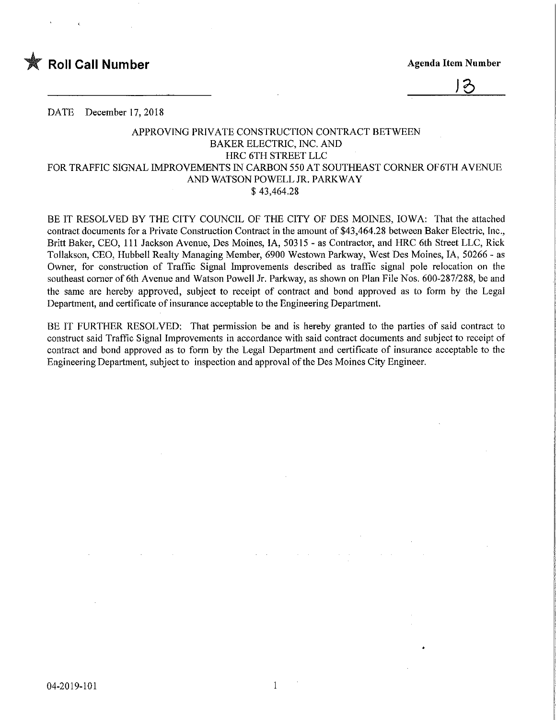

 $\mathcal{P}$ 

DATE December 17, 2018

## APPROVING PRIVATE CONSTRUCTION CONTRACT BETWEEN BAKER ELECTRIC, INC. AND HRC 6TH STREET LLC FOR TRAFFIC SIGNAL IMPROVEMENTS IN CARBON 550 AT SOUTHEAST CORNER OF6TH AVENUE AND WATSON POWELL JR. PARKWAY \$ 43,464.28

BE IT RESOLVED BY THE CITY COUNCIL OF THE CITY OF DES MOINES, IOWA: That the attached contract documents for a Private Construction Contract in the amount of \$43,464.28 between Baker Electric, Inc., Britt Baker, CEO, 111 Jackson Avenue, Des Moines, IA, 50315 - as Contractor, and HRC 6th Street LLC, Rick Tollakson, CEO, Hubbell Realty Managing Member, 6900 Westown Parkway, West Des Moines, IA, 50266 - as Owner, for construction of Traffic Signal Improvements described as traffic signal pole relocation on the southeast comer of 6th Avenue and Watson Powell Jr. Parkway, as shown on Plan File Nos. 600-287/288, be and the same are hereby approved, subject to receipt of contract and bond approved as to form by the Legal Department, and certificate of insurance acceptable to the Engineering Department.

BE IT FURTHER RESOLVED; That permission be and is hereby granted to the parties of said contract to construct said Traffic Signal Improvements in accordance with said contract documents and subject to receipt of contract and bond approved as to form by the Legal Department and certificate of insurance acceptable to the Engineering Department, subject to inspection and approval of the Des Moines City Engineer.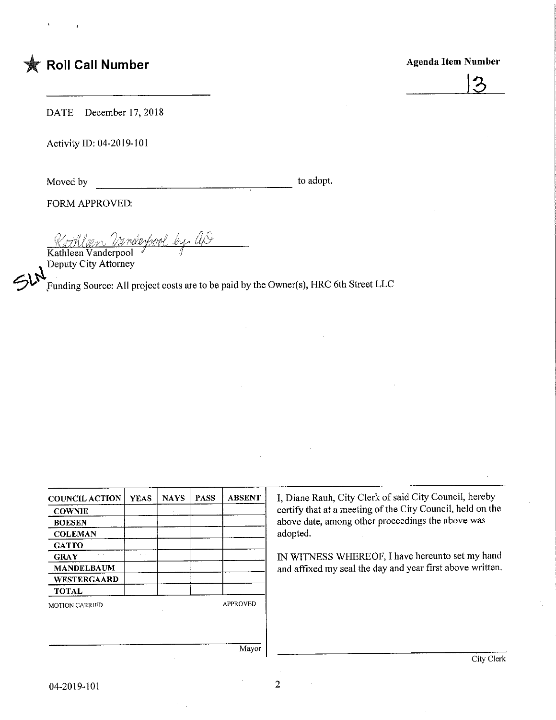Agenda Item Number



DATE December 17, 2018

Activity ID: 04-2019-101

Moved by

to adopt.

FORM APPROVED:

<u>Kothlaen Vanderpool</u> by ap

 $\mathfrak{Sh}^{\mathbb{N}}$ Kathleen Vanderpool  $\mathscr I$   $\mathscr J$ Deputy City Attorney

Funding Source: All project costs are to be paid by the Owner(s), HRC 6th Street LLC

and the contract of the contract of the contract of the contract of the contract of the contract of the contract of the contract of the contract of the contract of the contract of the contract of the contract of the contra

| <b>COUNCIL ACTION</b> | <b>YEAS</b> | <b>NAYS</b> | <b>PASS</b> | <b>ABSENT</b>   | I, Diane Rauh, City Clerk of said City Council, hereby<br>certify that at a meeting of the City Council, held on the |  |  |
|-----------------------|-------------|-------------|-------------|-----------------|----------------------------------------------------------------------------------------------------------------------|--|--|
| <b>COWNIE</b>         |             |             |             |                 |                                                                                                                      |  |  |
| <b>BOESEN</b>         |             |             |             |                 | above date, among other proceedings the above was                                                                    |  |  |
| <b>COLEMAN</b>        |             |             |             |                 | adopted.                                                                                                             |  |  |
| <b>GATTO</b>          |             |             |             |                 |                                                                                                                      |  |  |
| <b>GRAY</b>           |             |             |             |                 | IN WITNESS WHEREOF, I have hereunto set my hand                                                                      |  |  |
| <b>MANDELBAUM</b>     |             |             |             |                 | and affixed my seal the day and year first above written.                                                            |  |  |
| <b>WESTERGAARD</b>    |             |             |             |                 |                                                                                                                      |  |  |
| <b>TOTAL</b>          |             |             |             |                 |                                                                                                                      |  |  |
| <b>MOTION CARRIED</b> |             |             |             | <b>APPROVED</b> |                                                                                                                      |  |  |
|                       |             |             |             |                 |                                                                                                                      |  |  |
|                       |             |             |             |                 |                                                                                                                      |  |  |
|                       |             |             |             | Mayor           |                                                                                                                      |  |  |
|                       |             |             |             |                 | City Clerk                                                                                                           |  |  |